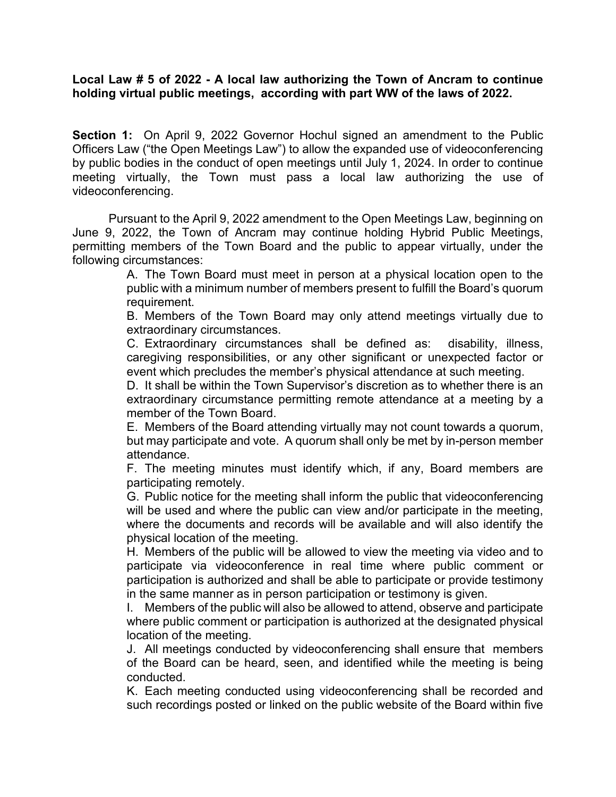## **Local Law # 5 of 2022 - A local law authorizing the Town of Ancram to continue holding virtual public meetings, according with part WW of the laws of 2022.**

**Section 1:** On April 9, 2022 Governor Hochul signed an amendment to the Public Officers Law ("the Open Meetings Law") to allow the expanded use of videoconferencing by public bodies in the conduct of open meetings until July 1, 2024. In order to continue meeting virtually, the Town must pass a local law authorizing the use of videoconferencing.

Pursuant to the April 9, 2022 amendment to the Open Meetings Law, beginning on June 9, 2022, the Town of Ancram may continue holding Hybrid Public Meetings, permitting members of the Town Board and the public to appear virtually, under the following circumstances:

A. The Town Board must meet in person at a physical location open to the public with a minimum number of members present to fulfill the Board's quorum requirement.

B. Members of the Town Board may only attend meetings virtually due to extraordinary circumstances.

C. Extraordinary circumstances shall be defined as: disability, illness, caregiving responsibilities, or any other significant or unexpected factor or event which precludes the member's physical attendance at such meeting.

D. It shall be within the Town Supervisor's discretion as to whether there is an extraordinary circumstance permitting remote attendance at a meeting by a member of the Town Board.

E. Members of the Board attending virtually may not count towards a quorum, but may participate and vote. A quorum shall only be met by in-person member attendance.

F. The meeting minutes must identify which, if any, Board members are participating remotely.

G. Public notice for the meeting shall inform the public that videoconferencing will be used and where the public can view and/or participate in the meeting. where the documents and records will be available and will also identify the physical location of the meeting.

H. Members of the public will be allowed to view the meeting via video and to participate via videoconference in real time where public comment or participation is authorized and shall be able to participate or provide testimony in the same manner as in person participation or testimony is given.

I. Members of the public will also be allowed to attend, observe and participate where public comment or participation is authorized at the designated physical location of the meeting.

J. All meetings conducted by videoconferencing shall ensure that members of the Board can be heard, seen, and identified while the meeting is being conducted.

K. Each meeting conducted using videoconferencing shall be recorded and such recordings posted or linked on the public website of the Board within five